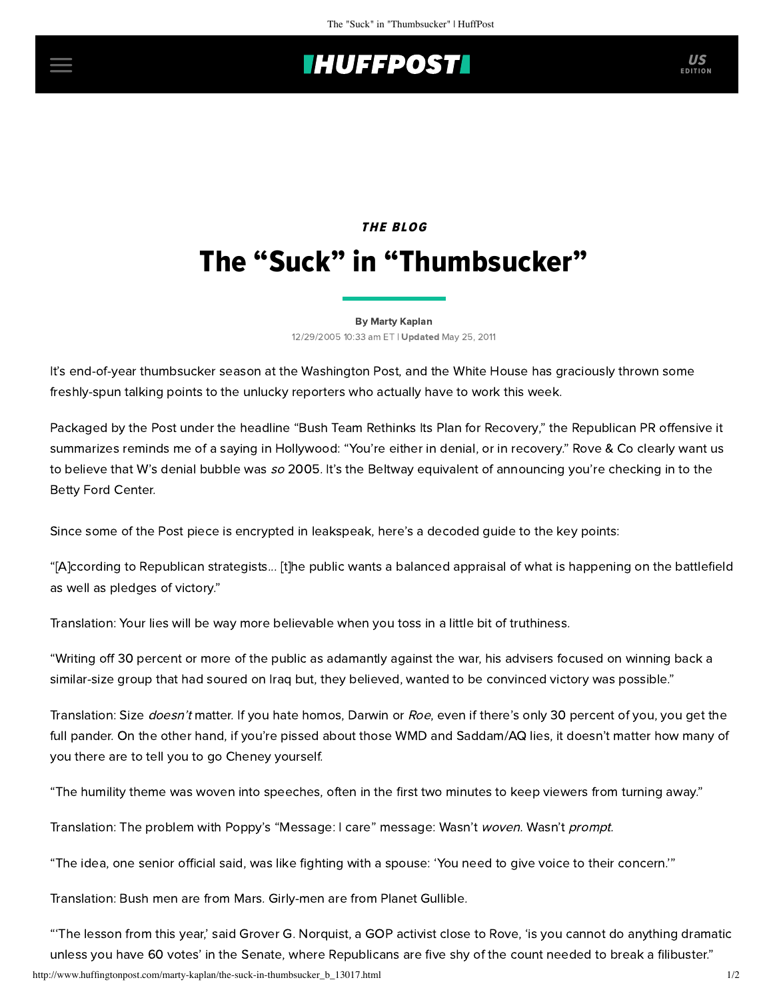## **IHUFFPOSTI**

# THE BLOG The "Suck" in "Thumbsucker"

#### [By Marty Kaplan](http://www.huffingtonpost.com/author/marty-kaplan)

12/29/2005 10:33 am ET | Updated May 25, 2011

It's end-of-year thumbsucker season at the Washington Post, and the White House has graciously thrown some freshly-spun talking points to the unlucky reporters who actually have to work this week.

Packaged by the Post under the headline "[Bush Team Rethinks Its Plan for Recovery](http://www.washingtonpost.com/wp-dyn/content/article/2005/12/28/AR2005122801517.html?referrer=email)," the Republican PR offensive it summarizes reminds me of a saying in Hollywood: "You're either in denial, or in recovery." Rove & Co clearly want us to believe that W's denial bubble was so 2005. It's the Beltway equivalent of announcing you're checking in to the Betty Ford Center.

Since some of the Post piece is encrypted in leakspeak, here's a decoded guide to the key points:

"[A]ccording to Republican strategists... [t]he public wants a balanced appraisal of what is happening on the battlefield as well as pledges of victory."

Translation: Your lies will be way more believable when you toss in a little bit of truthiness.

"Writing off 30 percent or more of the public as adamantly against the war, his advisers focused on winning back a similar-size group that had soured on Iraq but, they believed, wanted to be convinced victory was possible."

Translation: Size doesn't matter. If you hate homos, Darwin or Roe, even if there's only 30 percent of you, you get the full pander. On the other hand, if you're pissed about those WMD and Saddam/AQ lies, it doesn't matter how many of you there are to tell you to go Cheney yourself.

"The humility theme was woven into speeches, often in the first two minutes to keep viewers from turning away."

Translation: The problem with Poppy's "Message: I care" message: Wasn't woven. Wasn't prompt.

"The idea, one senior official said, was like fighting with a spouse: 'You need to give voice to their concern.'"

Translation: Bush men are from Mars. Girly-men are from Planet Gullible.

"'The lesson from this year,' said Grover G. Norquist, a GOP activist close to Rove, 'is you cannot do anything dramatic unless you have 60 votes' in the Senate, where Republicans are five shy of the count needed to break a filibuster."